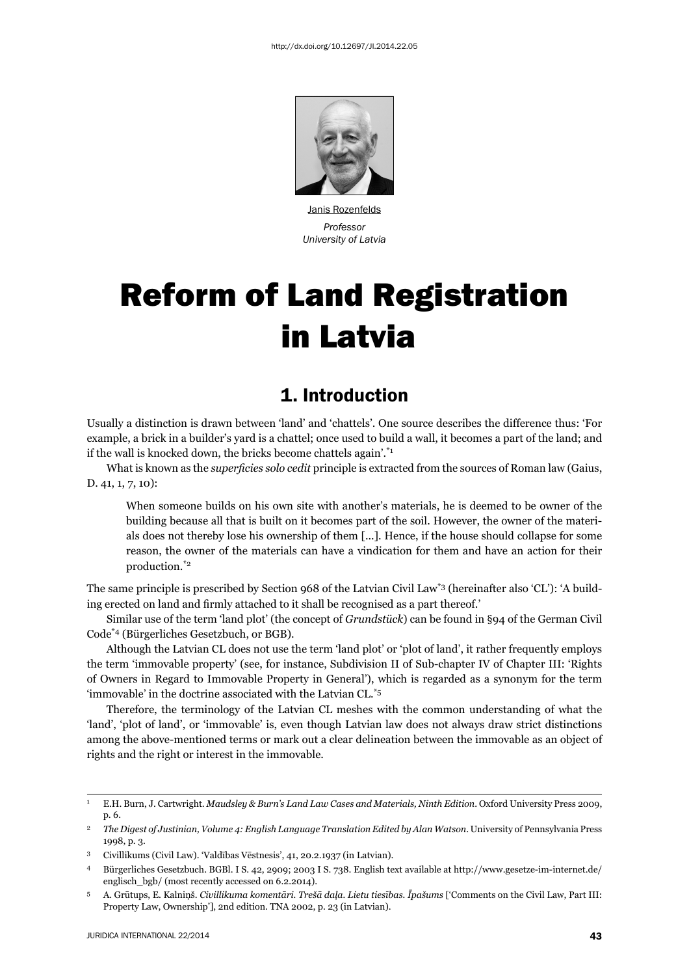

Janis Rozenfelds *Professor University of Latvia*

# Reform of Land Registration in Latvia

#### 1. Introduction

Usually a distinction is drawn between 'land' and 'chattels'. One source describes the difference thus: 'For example, a brick in a builder's yard is a chattel; once used to build a wall, it becomes a part of the land; and if the wall is knocked down, the bricks become chattels again'. $i^*$ 

What is known as the *superficies solo cedit* principle is extracted from the sources of Roman law (Gaius, D. 41, 1, 7, 10):

When someone builds on his own site with another's materials, he is deemed to be owner of the building because all that is built on it becomes part of the soil. However, the owner of the materials does not thereby lose his ownership of them [...]. Hence, if the house should collapse for some reason, the owner of the materials can have a vindication for them and have an action for their production.\*2

The same principle is prescribed by Section 968 of the Latvian Civil Law\*3 (hereinafter also 'CL'): 'A building erected on land and firmly attached to it shall be recognised as a part thereof.'

Similar use of the term 'land plot' (the concept of *Grundstück*) can be found in §94 of the German Civil Code\*4 (Bürgerliches Gesetzbuch, or BGB).

Although the Latvian CL does not use the term 'land plot' or 'plot of land', it rather frequently employs the term 'immovable property' (see, for instance, Subdivision II of Sub-chapter IV of Chapter III: 'Rights of Owners in Regard to Immovable Property in General'), which is regarded as a synonym for the term 'immovable' in the doctrine associated with the Latvian CL.\*5

Therefore, the terminology of the Latvian CL meshes with the common understanding of what the 'land', 'plot of land', or 'immovable' is, even though Latvian law does not always draw strict distinctions among the above-mentioned terms or mark out a clear delineation between the immovable as an object of rights and the right or interest in the immovable.

<sup>1</sup> E.H. Burn, J. Cartwright. *Maudsley & Burn's Land Law Cases and Materials, Ninth Edition*. Oxford University Press 2009, p. 6.

<sup>&</sup>lt;sup>2</sup> The Digest of Justinian, Volume 4: English Language Translation Edited by Alan Watson. University of Pennsylvania Press 1998, p. 3.

<sup>3</sup> Civillikums (Civil Law). 'Valdības Vēstnesis', 41, 20.2.1937 (in Latvian).

<sup>4</sup> Bürgerliches Gesetzbuch. BGBl. I S. 42, 2909; 2003 I S. 738. English text available at http://www.gesetze-im-internet.de/ englisch\_bgb/ (most recently accessed on 6.2.2014).

<sup>5</sup> A. Grūtups, E. Kalniņš. *Civillikuma komentāri. Trešā daļa. Lietu tiesības. Īpašums* ['Comments on the Civil Law, Part III: Property Law, Ownership'], 2nd edition. TNA 2002, p. 23 (in Latvian).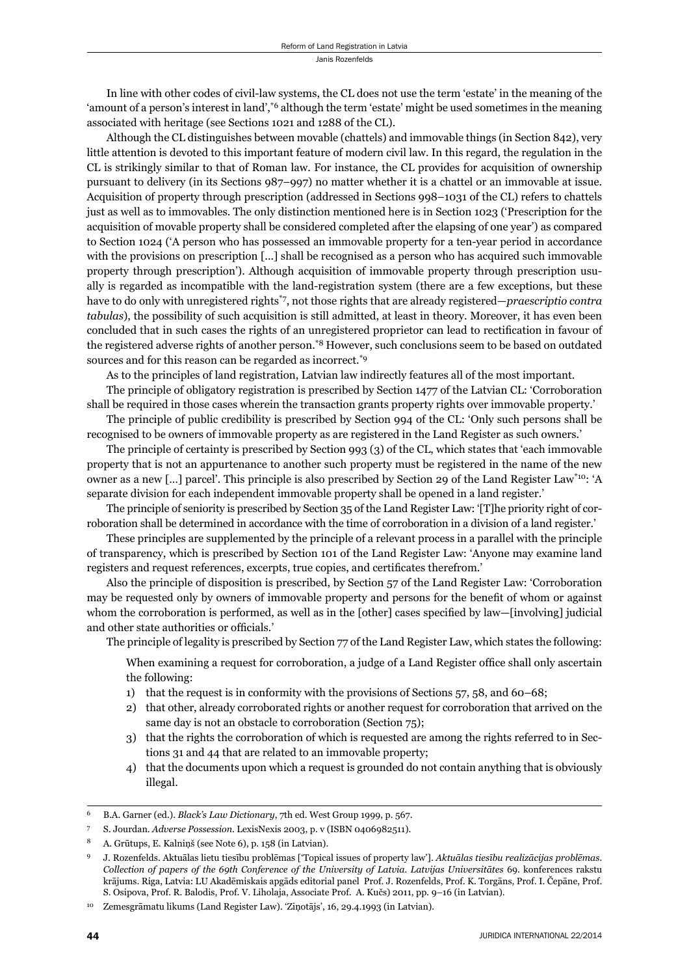In line with other codes of civil-law systems, the CL does not use the term 'estate' in the meaning of the 'amount of a person's interest in land',<sup>\*6</sup> although the term 'estate' might be used sometimes in the meaning associated with heritage (see Sections 1021 and 1288 of the CL).

Although the CL distinguishes between movable (chattels) and immovable things (in Section 842), very little attention is devoted to this important feature of modern civil law. In this regard, the regulation in the CL is strikingly similar to that of Roman law. For instance, the CL provides for acquisition of ownership pursuant to delivery (in its Sections 987–997) no matter whether it is a chattel or an immovable at issue. Acquisition of property through prescription (addressed in Sections 998–1031 of the CL) refers to chattels just as well as to immovables. The only distinction mentioned here is in Section 1023 ('Prescription for the acquisition of movable property shall be considered completed after the elapsing of one year') as compared to Section 1024 ('A person who has possessed an immovable property for a ten-year period in accordance with the provisions on prescription [...] shall be recognised as a person who has acquired such immovable property through prescription'). Although acquisition of immovable property through prescription usually is regarded as incompatible with the land-registration system (there are a few exceptions, but these have to do only with unregistered rights\*7, not those rights that are already registered—*praescriptio contra tabulas*), the possibility of such acquisition is still admitted, at least in theory. Moreover, it has even been concluded that in such cases the rights of an unregistered proprietor can lead to rectification in favour of the registered adverse rights of another person.\*8 However, such conclusions seem to be based on outdated sources and for this reason can be regarded as incorrect.<sup>\*9</sup>

As to the principles of land registration, Latvian law indirectly features all of the most important.

The principle of obligatory registration is prescribed by Section 1477 of the Latvian CL: 'Corroboration shall be required in those cases wherein the transaction grants property rights over immovable property.'

The principle of public credibility is prescribed by Section 994 of the CL: 'Only such persons shall be recognised to be owners of immovable property as are registered in the Land Register as such owners.'

The principle of certainty is prescribed by Section 993 (3) of the CL, which states that 'each immovable property that is not an appurtenance to another such property must be registered in the name of the new owner as a new […] parcel'. This principle is also prescribed by Section 29 of the Land Register Law\*10: 'A separate division for each independent immovable property shall be opened in a land register.'

The principle of seniority is prescribed by Section 35 of the Land Register Law: '[T]he priority right of corroboration shall be determined in accordance with the time of corroboration in a division of a land register.'

These principles are supplemented by the principle of a relevant process in a parallel with the principle of transparency, which is prescribed by Section 101 of the Land Register Law: 'Anyone may examine land registers and request references, excerpts, true copies, and certificates therefrom.'

Also the principle of disposition is prescribed, by Section 57 of the Land Register Law: 'Corroboration may be requested only by owners of immovable property and persons for the benefit of whom or against whom the corroboration is performed, as well as in the [other] cases specified by law—[involving] judicial and other state authorities or officials.'

The principle of legality is prescribed by Section 77 of the Land Register Law, which states the following:

When examining a request for corroboration, a judge of a Land Register office shall only ascertain the following:

- 1) that the request is in conformity with the provisions of Sections 57, 58, and 60–68;
- 2) that other, already corroborated rights or another request for corroboration that arrived on the same day is not an obstacle to corroboration (Section 75);
- 3) that the rights the corroboration of which is requested are among the rights referred to in Sections 31 and 44 that are related to an immovable property;
- 4) that the documents upon which a request is grounded do not contain anything that is obviously illegal.

<sup>6</sup> B.A. Garner (ed.). *Black's Law Dictionary*, 7th ed. West Group 1999, p. 567.

<sup>7</sup> S. Jourdan. *Adverse Possession*. LexisNexis 2003, p. v (ISBN 0406982511).

<sup>8</sup> A. Grūtups, E. Kalniņš (see Note 6), p. 158 (in Latvian).

<sup>9</sup> J. Rozenfelds. Aktuālas lietu tiesību problēmas ['Topical issues of property law']. *Aktuālas tiesību realizācijas problēmas. Collection of papers of the 69th Conference of the University of Latvia. Latvijas Universitātes* 69. konferences rakstu krājums. Riga, Latvia: LU Akadēmiskais apgāds editorial panel Prof. J. Rozenfelds, Prof. K. Torgāns, Prof. I. Čepāne, Prof. S. Osipova, Prof. R. Balodis, Prof. V. Liholaja, Associate Prof. A. Kučs) 2011, pp. 9–16 (in Latvian).

<sup>10</sup> Zemesgrāmatu likums (Land Register Law). 'Ziņotājs', 16, 29.4.1993 (in Latvian).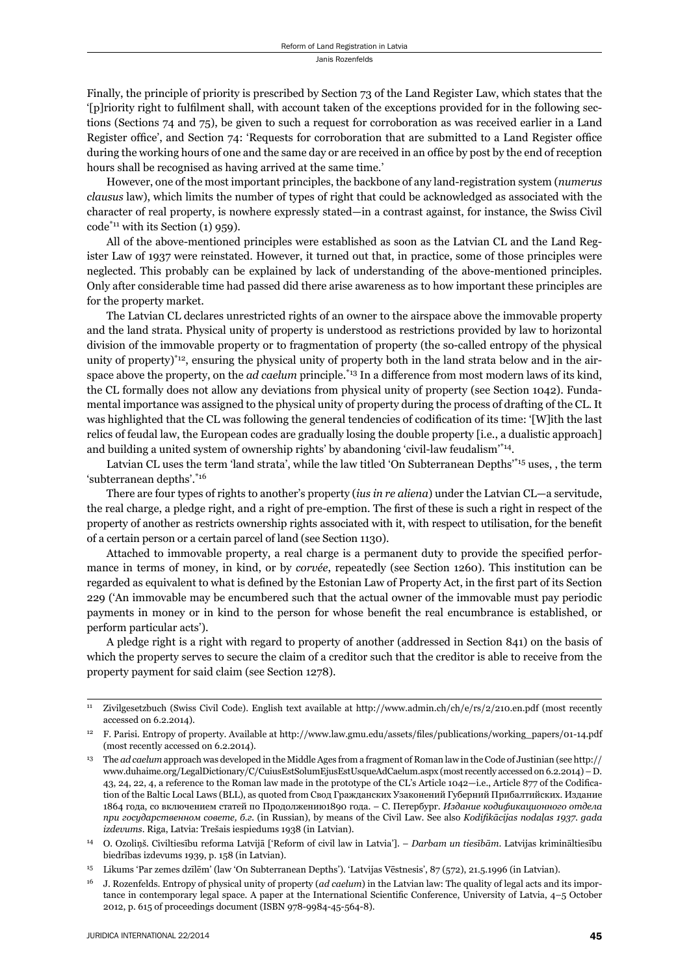Janis Rozenfelds

Finally, the principle of priority is prescribed by Section 73 of the Land Register Law, which states that the '[p]riority right to fulfilment shall, with account taken of the exceptions provided for in the following sections (Sections 74 and 75), be given to such a request for corroboration as was received earlier in a Land Register office', and Section 74: 'Requests for corroboration that are submitted to a Land Register office during the working hours of one and the same day or are received in an office by post by the end of reception hours shall be recognised as having arrived at the same time.'

However, one of the most important principles, the backbone of any land-registration system (*numerus clausus* law), which limits the number of types of right that could be acknowledged as associated with the character of real property, is nowhere expressly stated—in a contrast against, for instance, the Swiss Civil  $code^{*_{11}}$  with its Section (1) 959).

All of the above-mentioned principles were established as soon as the Latvian CL and the Land Register Law of 1937 were reinstated. However, it turned out that, in practice, some of those principles were neglected. This probably can be explained by lack of understanding of the above-mentioned principles. Only after considerable time had passed did there arise awareness as to how important these principles are for the property market.

The Latvian CL declares unrestricted rights of an owner to the airspace above the immovable property and the land strata. Physical unity of property is understood as restrictions provided by law to horizontal division of the immovable property or to fragmentation of property (the so-called entropy of the physical unity of property) $i<sup>2</sup>$  ensuring the physical unity of property both in the land strata below and in the airspace above the property, on the *ad caelum* principle.<sup>\*13</sup> In a difference from most modern laws of its kind, the CL formally does not allow any deviations from physical unity of property (see Section 1042). Fundamental importance was assigned to the physical unity of property during the process of drafting of the CL. It was highlighted that the CL was following the general tendencies of codification of its time: '[W]ith the last relics of feudal law, the European codes are gradually losing the double property [i.e., a dualistic approach] and building a united system of ownership rights' by abandoning 'civil-law feudalism'\*14.

Latvian CL uses the term 'land strata', while the law titled 'On Subterranean Depths'\*15 uses, , the term 'subterranean depths'.\*16

There are four types of rights to another's property (*ius in re aliena*) under the Latvian CL—a servitude, the real charge, a pledge right, and a right of pre-emption. The first of these is such a right in respect of the property of another as restricts ownership rights associated with it, with respect to utilisation, for the benefit of a certain person or a certain parcel of land (see Section 1130).

Attached to immovable property, a real charge is a permanent duty to provide the specified performance in terms of money, in kind, or by *corvée*, repeatedly (see Section 1260). This institution can be regarded as equivalent to what is defined by the Estonian Law of Property Act, in the first part of its Section 229 ('An immovable may be encumbered such that the actual owner of the immovable must pay periodic payments in money or in kind to the person for whose benefit the real encumbrance is established, or perform particular acts').

A pledge right is a right with regard to property of another (addressed in Section 841) on the basis of which the property serves to secure the claim of a creditor such that the creditor is able to receive from the property payment for said claim (see Section 1278).

<sup>11</sup> Zivilgesetzbuch (Swiss Civil Code). English text available at http://www.admin.ch/ch/e/rs/2/210.en.pdf (most recently accessed on 6.2.2014).

<sup>12</sup> F. Parisi. Entropy of property. Available at http://www.law.gmu.edu/assets/fi les/publications/working\_papers/01-14.pdf (most recently accessed on 6.2.2014).

<sup>13</sup> The *ad caelum* approach was developed in the Middle Ages from a fragment of Roman law in the Code of Justinian (see http:// www.duhaime.org/LegalDictionary/C/CuiusEstSolumEjusEstUsqueAdCaelum.aspx (most recently accessed on 6.2.2014) – D. 43, 24, 22, 4, a reference to the Roman law made in the prototype of the CL's Article 1042—i.e., Article 877 of the Codification of the Baltic Local Laws (BLL), as quoted from Свод Гражданских Узаконений Губерний Прибалтийских. Издание 1864 года, со включением статей по Продолжению1890 года. – С. Петербург. *Издание кодификационного отдела при государственном совете, б.г.* (in Russian), by means of the Civil Law. See also *Kodifi kācijas nodaļas 1937. gada izdevums*. Riga, Latvia: Trešais iespiedums 1938 (in Latvian).

<sup>14</sup> O. Ozoliņš. Civiltiesību reforma Latvijā ['Reform of civil law in Latvia']. – *Darbam un tiesībām*. Latvijas krimināltiesību biedrības izdevums 1939, p. 158 (in Latvian).

<sup>15</sup> Likums 'Par zemes dzīlēm' (law 'On Subterranean Depths'). 'Latvijas Vēstnesis', 87 (572), 21.5.1996 (in Latvian).

<sup>16</sup> J. Rozenfelds. Entropy of physical unity of property (*ad caelum*) in the Latvian law: The quality of legal acts and its importance in contemporary legal space. A paper at the International Scientific Conference, University of Latvia, 4–5 October 2012, p. 615 of proceedings document (ISBN 978-9984-45-564-8).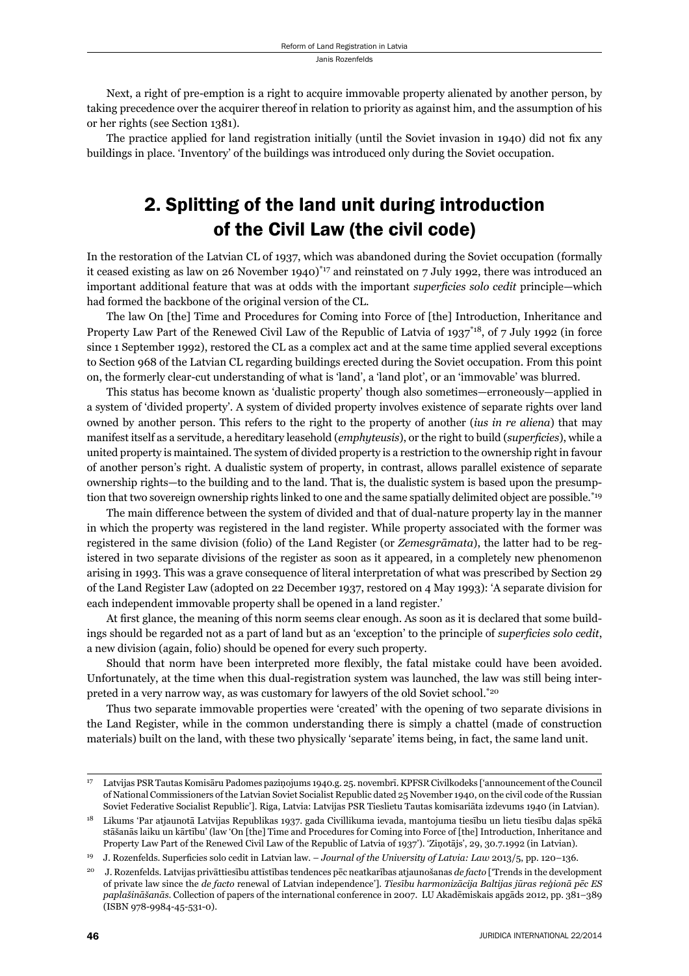Next, a right of pre-emption is a right to acquire immovable property alienated by another person, by taking precedence over the acquirer thereof in relation to priority as against him, and the assumption of his or her rights (see Section 1381).

The practice applied for land registration initially (until the Soviet invasion in 1940) did not fix any buildings in place. 'Inventory' of the buildings was introduced only during the Soviet occupation.

# 2. Splitting of the land unit during introduction of the Civil Law (the civil code)

In the restoration of the Latvian CL of 1937, which was abandoned during the Soviet occupation (formally it ceased existing as law on 26 November 1940)\*<sup>17</sup> and reinstated on 7 July 1992, there was introduced an important additional feature that was at odds with the important *superficies solo cedit* principle—which had formed the backbone of the original version of the CL.

The law On [the] Time and Procedures for Coming into Force of [the] Introduction, Inheritance and Property Law Part of the Renewed Civil Law of the Republic of Latvia of  $1937^{*18}$ , of 7 July 1992 (in force since 1 September 1992), restored the CL as a complex act and at the same time applied several exceptions to Section 968 of the Latvian CL regarding buildings erected during the Soviet occupation. From this point on, the formerly clear-cut understanding of what is 'land', a 'land plot', or an 'immovable' was blurred.

This status has become known as 'dualistic property' though also sometimes—erroneously—applied in a system of 'divided property'. A system of divided property involves existence of separate rights over land owned by another person. This refers to the right to the property of another (*ius in re aliena*) that may manifest itself as a servitude, a hereditary leasehold (*emphyteusis*), or the right to build (*superficies*), while a united property is maintained. The system of divided property is a restriction to the ownership right in favour of another person's right. A dualistic system of property, in contrast, allows parallel existence of separate ownership rights—to the building and to the land. That is, the dualistic system is based upon the presumption that two sovereign ownership rights linked to one and the same spatially delimited object are possible.<sup>\*19</sup>

The main difference between the system of divided and that of dual-nature property lay in the manner in which the property was registered in the land register. While property associated with the former was registered in the same division (folio) of the Land Register (or *Zemesgrāmata*), the latter had to be registered in two separate divisions of the register as soon as it appeared, in a completely new phenomenon arising in 1993. This was a grave consequence of literal interpretation of what was prescribed by Section 29 of the Land Register Law (adopted on 22 December 1937, restored on 4 May 1993): 'A separate division for each independent immovable property shall be opened in a land register.'

At first glance, the meaning of this norm seems clear enough. As soon as it is declared that some buildings should be regarded not as a part of land but as an 'exception' to the principle of *superficies solo cedit*, a new division (again, folio) should be opened for every such property.

Should that norm have been interpreted more flexibly, the fatal mistake could have been avoided. Unfortunately, at the time when this dual-registration system was launched, the law was still being interpreted in a very narrow way, as was customary for lawyers of the old Soviet school.<sup>\*20</sup>

Thus two separate immovable properties were 'created' with the opening of two separate divisions in the Land Register, while in the common understanding there is simply a chattel (made of construction materials) built on the land, with these two physically 'separate' items being, in fact, the same land unit.

<sup>17</sup> Latvijas PSR Tautas Komisāru Padomes paziņojums 1940.g. 25. novembrī. KPFSR Civilkodeks ['announcement of the Council of National Commissioners of the Latvian Soviet Socialist Republic dated 25 November 1940, on the civil code of the Russian Soviet Federative Socialist Republic']. Riga, Latvia: Latvijas PSR Tieslietu Tautas komisariāta izdevums 1940 (in Latvian).

<sup>18</sup> Likums 'Par atjaunotā Latvijas Republikas 1937. gada Civillikuma ievada, mantojuma tiesību un lietu tiesību daļas spēkā stāšanās laiku un kārtību' (law 'On [the] Time and Procedures for Coming into Force of [the] Introduction, Inheritance and Property Law Part of the Renewed Civil Law of the Republic of Latvia of 1937'). 'Ziņotājs', 29, 30.7.1992 (in Latvian).

<sup>&</sup>lt;sup>19</sup> J. Rozenfelds. Superficies solo cedit in Latvian law. – *Journal of the University of Latvia: Law* 2013/5, pp. 120–136.

<sup>20</sup> J. Rozenfelds. Latvijas privāttiesību attīstības tendences pēc neatkarības atjaunošanas *de facto* ['Trends in the development of private law since the *de facto* renewal of Latvian independence']. *Tiesību harmonizācija Baltijas jūras reģionā pēc ES paplašināšanās*. Collection of papers of the international conference in 2007. LU Akadēmiskais apgāds 2012, pp. 381–389 (ISBN 978-9984-45-531-0).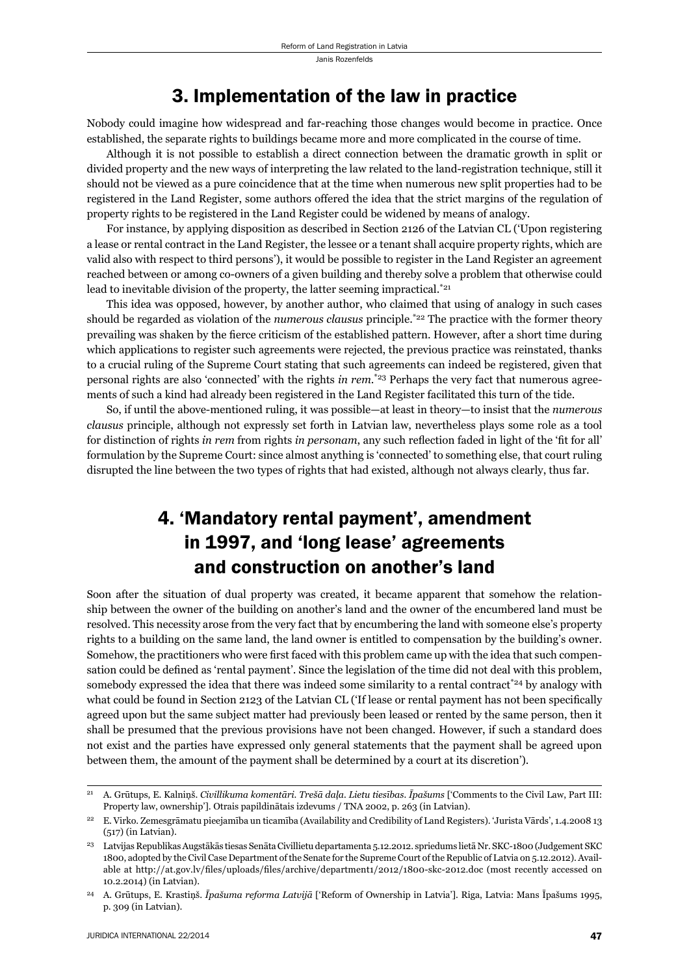Janis Rozenfelds

### 3. Implementation of the law in practice

Nobody could imagine how widespread and far-reaching those changes would become in practice. Once established, the separate rights to buildings became more and more complicated in the course of time.

Although it is not possible to establish a direct connection between the dramatic growth in split or divided property and the new ways of interpreting the law related to the land-registration technique, still it should not be viewed as a pure coincidence that at the time when numerous new split properties had to be registered in the Land Register, some authors offered the idea that the strict margins of the regulation of property rights to be registered in the Land Register could be widened by means of analogy.

For instance, by applying disposition as described in Section 2126 of the Latvian CL ('Upon registering a lease or rental contract in the Land Register, the lessee or a tenant shall acquire property rights, which are valid also with respect to third persons'), it would be possible to register in the Land Register an agreement reached between or among co-owners of a given building and thereby solve a problem that otherwise could lead to inevitable division of the property, the latter seeming impractical.<sup>\*21</sup>

This idea was opposed, however, by another author, who claimed that using of analogy in such cases should be regarded as violation of the *numerous clausus* principle.\*22 The practice with the former theory prevailing was shaken by the fierce criticism of the established pattern. However, after a short time during which applications to register such agreements were rejected, the previous practice was reinstated, thanks to a crucial ruling of the Supreme Court stating that such agreements can indeed be registered, given that personal rights are also 'connected' with the rights *in rem*. \*23 Perhaps the very fact that numerous agreements of such a kind had already been registered in the Land Register facilitated this turn of the tide.

So, if until the above-mentioned ruling, it was possible—at least in theory—to insist that the *numerous clausus* principle, although not expressly set forth in Latvian law, nevertheless plays some role as a tool for distinction of rights *in rem* from rights *in personam*, any such reflection faded in light of the 'fit for all' formulation by the Supreme Court: since almost anything is 'connected' to something else, that court ruling disrupted the line between the two types of rights that had existed, although not always clearly, thus far.

# 4. 'Mandatory rental payment', amendment in 1997, and 'long lease' agreements and construction on another's land

Soon after the situation of dual property was created, it became apparent that somehow the relationship between the owner of the building on another's land and the owner of the encumbered land must be resolved. This necessity arose from the very fact that by encumbering the land with someone else's property rights to a building on the same land, the land owner is entitled to compensation by the building's owner. Somehow, the practitioners who were first faced with this problem came up with the idea that such compensation could be defined as 'rental payment'. Since the legislation of the time did not deal with this problem, somebody expressed the idea that there was indeed some similarity to a rental contract<sup> $*24$ </sup> by analogy with what could be found in Section 2123 of the Latvian CL ('If lease or rental payment has not been specifically agreed upon but the same subject matter had previously been leased or rented by the same person, then it shall be presumed that the previous provisions have not been changed. However, if such a standard does not exist and the parties have expressed only general statements that the payment shall be agreed upon between them, the amount of the payment shall be determined by a court at its discretion').

<sup>21</sup> A. Grūtups, E. Kalniņš. *Civillikuma komentāri. Trešā daļa. Lietu tiesības. Īpašums* ['Comments to the Civil Law, Part III: Property law, ownership']. Otrais papildinātais izdevums / TNA 2002, p. 263 (in Latvian).

<sup>22</sup> E. Virko. Zemesgrāmatu pieejamība un ticamība (Availability and Credibility of Land Registers). 'Jurista Vārds', 1.4.2008 13 (517) (in Latvian).

<sup>23</sup> Latvijas Republikas Augstākās tiesas Senāta Civillietu departamenta 5.12.2012. spriedums lietā Nr. SKC-1800 (Judgement SKC 1800, adopted by the Civil Case Department of the Senate for the Supreme Court of the Republic of Latvia on 5.12.2012). Available at http://at.gov.lv/files/uploads/files/archive/department1/2012/1800-skc-2012.doc (most recently accessed on 10.2.2014) (in Latvian).

<sup>24</sup> A. Grūtups, E. Krastiņš. *Īpašuma reforma Latvijā* ['Reform of Ownership in Latvia']. Riga, Latvia: Mans Īpašums 1995, p. 309 (in Latvian).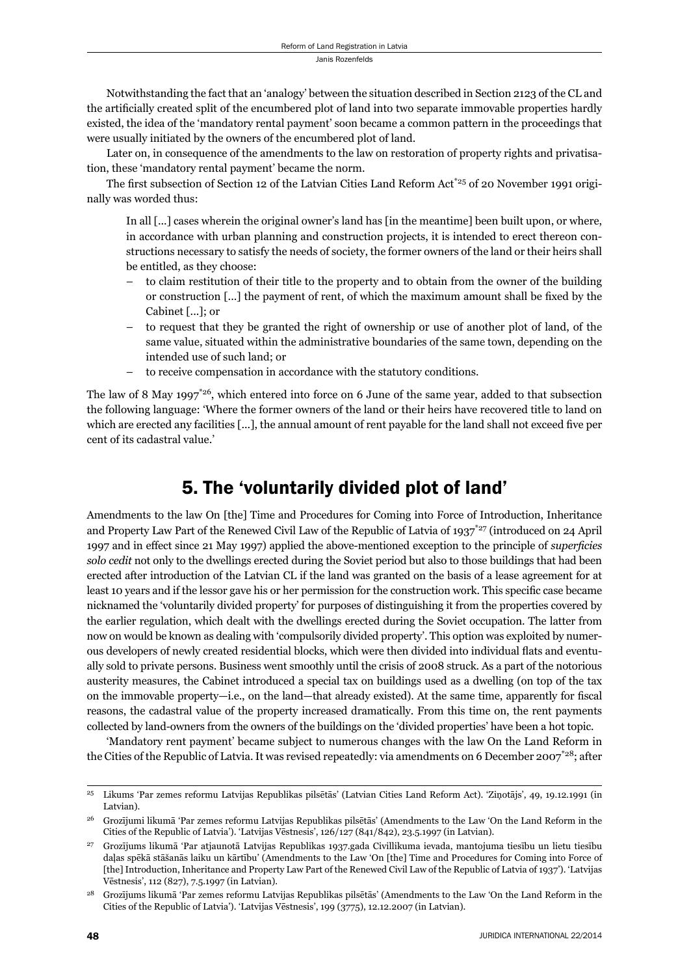Notwithstanding the fact that an 'analogy' between the situation described in Section 2123 of the CL and the artificially created split of the encumbered plot of land into two separate immovable properties hardly existed, the idea of the 'mandatory rental payment' soon became a common pattern in the proceedings that were usually initiated by the owners of the encumbered plot of land.

Later on, in consequence of the amendments to the law on restoration of property rights and privatisation, these 'mandatory rental payment' became the norm.

The first subsection of Section 12 of the Latvian Cities Land Reform Act<sup>\*25</sup> of 20 November 1991 originally was worded thus:

In all [...] cases wherein the original owner's land has [in the meantime] been built upon, or where, in accordance with urban planning and construction projects, it is intended to erect thereon constructions necessary to satisfy the needs of society, the former owners of the land or their heirs shall be entitled, as they choose:

- to claim restitution of their title to the property and to obtain from the owner of the building or construction [...] the payment of rent, of which the maximum amount shall be fixed by the Cabinet [...]; or
- to request that they be granted the right of ownership or use of another plot of land, of the same value, situated within the administrative boundaries of the same town, depending on the intended use of such land; or
- to receive compensation in accordance with the statutory conditions.

The law of 8 May 1997<sup> $*26$ </sup>, which entered into force on 6 June of the same year, added to that subsection the following language: 'Where the former owners of the land or their heirs have recovered title to land on which are erected any facilities [...], the annual amount of rent payable for the land shall not exceed five per cent of its cadastral value.'

### 5. The 'voluntarily divided plot of land'

Amendments to the law On [the] Time and Procedures for Coming into Force of Introduction, Inheritance and Property Law Part of the Renewed Civil Law of the Republic of Latvia of 1937\*27 (introduced on 24 April 1997 and in effect since 21 May 1997) applied the above-mentioned exception to the principle of *superficies solo cedit* not only to the dwellings erected during the Soviet period but also to those buildings that had been erected after introduction of the Latvian CL if the land was granted on the basis of a lease agreement for at least 10 years and if the lessor gave his or her permission for the construction work. This specific case became nicknamed the 'voluntarily divided property' for purposes of distinguishing it from the properties covered by the earlier regulation, which dealt with the dwellings erected during the Soviet occupation. The latter from now on would be known as dealing with 'compulsorily divided property'. This option was exploited by numerous developers of newly created residential blocks, which were then divided into individual flats and eventually sold to private persons. Business went smoothly until the crisis of 2008 struck. As a part of the notorious austerity measures, the Cabinet introduced a special tax on buildings used as a dwelling (on top of the tax on the immovable property—i.e., on the land—that already existed). At the same time, apparently for fiscal reasons, the cadastral value of the property increased dramatically. From this time on, the rent payments collected by land-owners from the owners of the buildings on the 'divided properties' have been a hot topic.

'Mandatory rent payment' became subject to numerous changes with the law On the Land Reform in the Cities of the Republic of Latvia. It was revised repeatedly: via amendments on 6 December 2007<sup>\*28</sup>; after

<sup>25</sup> Likums 'Par zemes reformu Latvijas Republikas pilsētās' (Latvian Cities Land Reform Act). 'Ziņotājs', 49, 19.12.1991 (in Latvian).

<sup>26</sup> Grozījumi likumā 'Par zemes reformu Latvijas Republikas pilsētās' (Amendments to the Law 'On the Land Reform in the Cities of the Republic of Latvia'). 'Latvijas Vēstnesis', 126/127 (841/842), 23.5.1997 (in Latvian).

<sup>27</sup> Grozījums likumā 'Par atjaunotā Latvijas Republikas 1937.gada Civillikuma ievada, mantojuma tiesību un lietu tiesību daļas spēkā stāšanās laiku un kārtību' (Amendments to the Law 'On [the] Time and Procedures for Coming into Force of [the] Introduction, Inheritance and Property Law Part of the Renewed Civil Law of the Republic of Latvia of 1937'). 'Latvijas Vēstnesis', 112 (827), 7.5.1997 (in Latvian).

<sup>28</sup> Grozījums likumā 'Par zemes reformu Latvijas Republikas pilsētās' (Amendments to the Law 'On the Land Reform in the Cities of the Republic of Latvia'). 'Latvijas Vēstnesis', 199 (3775), 12.12.2007 (in Latvian).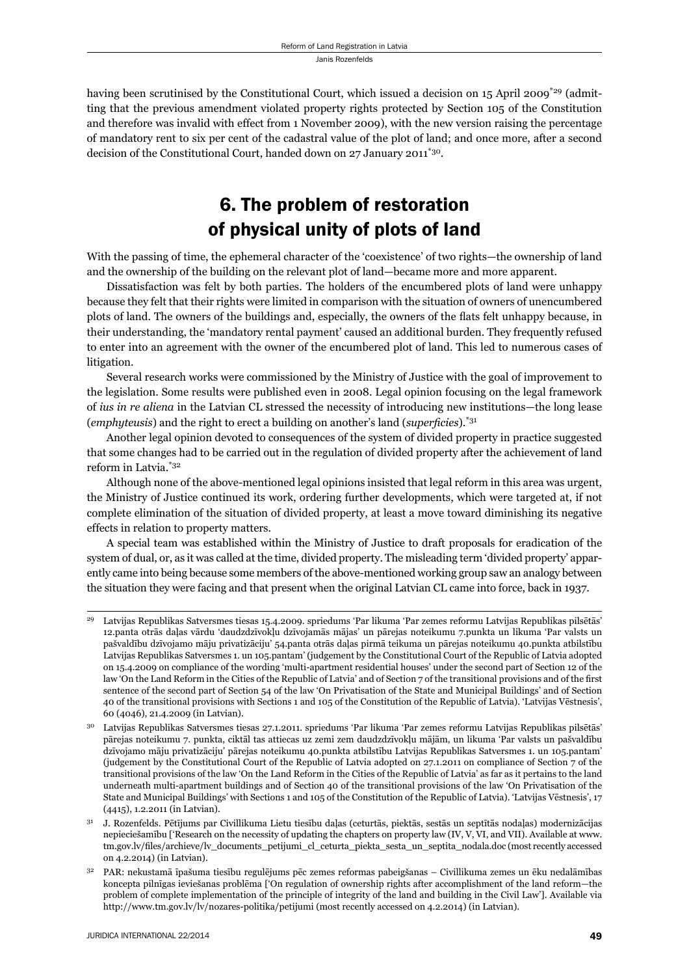having been scrutinised by the Constitutional Court, which issued a decision on 15 April 2009<sup>\*29</sup> (admitting that the previous amendment violated property rights protected by Section 105 of the Constitution and therefore was invalid with effect from 1 November 2009), with the new version raising the percentage of mandatory rent to six per cent of the cadastral value of the plot of land; and once more, after a second decision of the Constitutional Court, handed down on 27 January 2011\*30.

# 6. The problem of restoration of physical unity of plots of land

With the passing of time, the ephemeral character of the 'coexistence' of two rights—the ownership of land and the ownership of the building on the relevant plot of land—became more and more apparent.

Dissatisfaction was felt by both parties. The holders of the encumbered plots of land were unhappy because they felt that their rights were limited in comparison with the situation of owners of unencumbered plots of land. The owners of the buildings and, especially, the owners of the flats felt unhappy because, in their understanding, the 'mandatory rental payment' caused an additional burden. They frequently refused to enter into an agreement with the owner of the encumbered plot of land. This led to numerous cases of litigation.

Several research works were commissioned by the Ministry of Justice with the goal of improvement to the legislation. Some results were published even in 2008. Legal opinion focusing on the legal framework of *ius in re aliena* in the Latvian CL stressed the necessity of introducing new institutions—the long lease (*emphyteusis*) and the right to erect a building on another's land (*superficies*).<sup>\*31</sup>

Another legal opinion devoted to consequences of the system of divided property in practice suggested that some changes had to be carried out in the regulation of divided property after the achievement of land reform in Latvia.\*32

Although none of the above-mentioned legal opinions insisted that legal reform in this area was urgent, the Ministry of Justice continued its work, ordering further developments, which were targeted at, if not complete elimination of the situation of divided property, at least a move toward diminishing its negative effects in relation to property matters.

A special team was established within the Ministry of Justice to draft proposals for eradication of the system of dual, or, as it was called at the time, divided property. The misleading term 'divided property' apparently came into being because some members of the above-mentioned working group saw an analogy between the situation they were facing and that present when the original Latvian CL came into force, back in 1937.

<sup>29</sup> Latvijas Republikas Satversmes tiesas 15.4.2009. spriedums 'Par likuma 'Par zemes reformu Latvijas Republikas pilsētās' 12.panta otrās daļas vārdu 'daudzdzīvokļu dzīvojamās mājas' un pārejas noteikumu 7.punkta un likuma 'Par valsts un pašvaldību dzīvojamo māju privatizāciju' 54.panta otrās daļas pirmā teikuma un pārejas noteikumu 40.punkta atbilstību Latvijas Republikas Satversmes 1. un 105.pantam' (judgement by the Constitutional Court of the Republic of Latvia adopted on 15.4.2009 on compliance of the wording 'multi-apartment residential houses' under the second part of Section 12 of the law 'On the Land Reform in the Cities of the Republic of Latvia' and of Section 7 of the transitional provisions and of the first sentence of the second part of Section 54 of the law 'On Privatisation of the State and Municipal Buildings' and of Section 40 of the transitional provisions with Sections 1 and 105 of the Constitution of the Republic of Latvia). 'Latvijas Vēstnesis', 60 (4046), 21.4.2009 (in Latvian).

<sup>30</sup> Latvijas Republikas Satversmes tiesas 27.1.2011. spriedums 'Par likuma 'Par zemes reformu Latvijas Republikas pilsētās' pārejas noteikumu 7. punkta, ciktāl tas attiecas uz zemi zem daudzdzīvokļu mājām, un likuma 'Par valsts un pašvaldību dzīvojamo māju privatizāciju' pārejas noteikumu 40.punkta atbilstību Latvijas Republikas Satversmes 1. un 105.pantam' (judgement by the Constitutional Court of the Republic of Latvia adopted on 27.1.2011 on compliance of Section 7 of the transitional provisions of the law 'On the Land Reform in the Cities of the Republic of Latvia' as far as it pertains to the land underneath multi-apartment buildings and of Section 40 of the transitional provisions of the law 'On Privatisation of the State and Municipal Buildings' with Sections 1 and 105 of the Constitution of the Republic of Latvia). 'Latvijas Vēstnesis', 17 (4415), 1.2.2011 (in Latvian).

<sup>31</sup> J. Rozenfelds. Pētījums par Civillikuma Lietu tiesību daļas (ceturtās, piektās, sestās un septītās nodaļas) modernizācijas nepieciešamību ['Research on the necessity of updating the chapters on property law (IV, V, VI, and VII). Available at www. tm.gov.lv/files/archieve/lv\_documents\_petijumi\_cl\_ceturta\_piekta\_sesta\_un\_septita\_nodala.doc (most recently accessed on 4.2.2014) (in Latvian).

<sup>32</sup> PAR: nekustamā īpašuma tiesību regulējums pēc zemes reformas pabeigšanas – Civillikuma zemes un ēku nedalāmības koncepta pilnīgas ieviešanas problēma ['On regulation of ownership rights after accomplishment of the land reform—the problem of complete implementation of the principle of integrity of the land and building in the Civil Law']. Available via http://www.tm.gov.lv/lv/nozares-politika/petijumi (most recently accessed on 4.2.2014) (in Latvian).